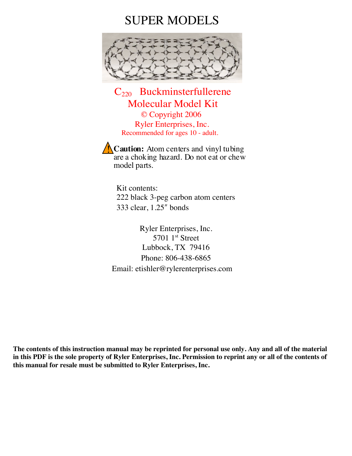## SUPER MODELS



C220 Buckminsterfullerene Molecular Model Kit<br>
© Copyright 2006 Ryler Enterprises, Inc. Recommended for ages 10 - adult.

**Caution:** Atom centers and vinyl tubing are a choking hazard. Do not eat or chew model parts.

Kit contents: 222 black 3-peg carbon atom centers 333 clear, 1.25ʺ bonds

Ryler Enterprises, Inc.  $5701$  1st Street Lubbock, TX 79416 Phone: 806-438-6865 Email: etishler@rylerenterprises.com

**The contents of this instruction manual may be reprinted for personal use only. Any and all of the material in this PDF is the sole property of Ryler Enterprises, Inc. Permission to reprint any or all of the contents of this manual for resale must be submitted to Ryler Enterprises, Inc.**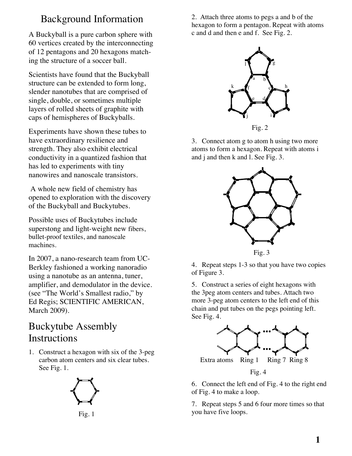## Background Information

A Buckyball is a pure carbon sphere with 60 vertices created by the interconnecting of 12 pentagons and 20 hexagons matching the structure of a soccer ball.

Scientists have found that the Buckyball structure can be extended to form long, slender nanotubes that are comprised of single, double, or sometimes multiple layers of rolled sheets of graphite with caps of hemispheres of Buckyballs.

Experiments have shown these tubes to have extraordinary resilience and strength. They also exhibit electrical conductivity in a quantized fashion that has led to experiments with tiny nanowires and nanoscale transistors.

A whole new field of chemistry has opened to exploration with the discovery of the Buckyball and Buckytubes.

Possible uses of Buckytubes include superstong and light-weight new fibers, bullet-proof textiles, and nanoscale machines.

In 2007, a nano-research team from UC-Berkley fashioned a working nanoradio using a nanotube as an antenna, tuner, amplifier, and demodulator in the device. (see "The World's Smallest radio," by Ed Regis; SCIENTIFIC AMERICAN, March 2009).

## Buckytube Assembly Instructions

1. Construct a hexagon with six of the 3-peg carbon atom centers and six clear tubes. See Fig. 1.





2. Attach three atoms to pegs a and b of the hexagon to form a pentagon. Repeat with atoms c and d and then e and f. See Fig. 2.





3. Connect atom g to atom h using two more atoms to form a hexagon. Repeat with atoms i and j and then k and l. See Fig. 3.





4. Repeat steps 1-3 so that you have two copies of Figure 3.

5. Construct a series of eight hexagons with the 3peg atom centers and tubes. Attach two more 3-peg atom centers to the left end of this chain and put tubes on the pegs pointing left. See Fig. 4.



6. Connect the left end of Fig. 4 to the right end of Fig. 4 to make a loop.

7. Repeat steps 5 and 6 four more times so that you have five loops.